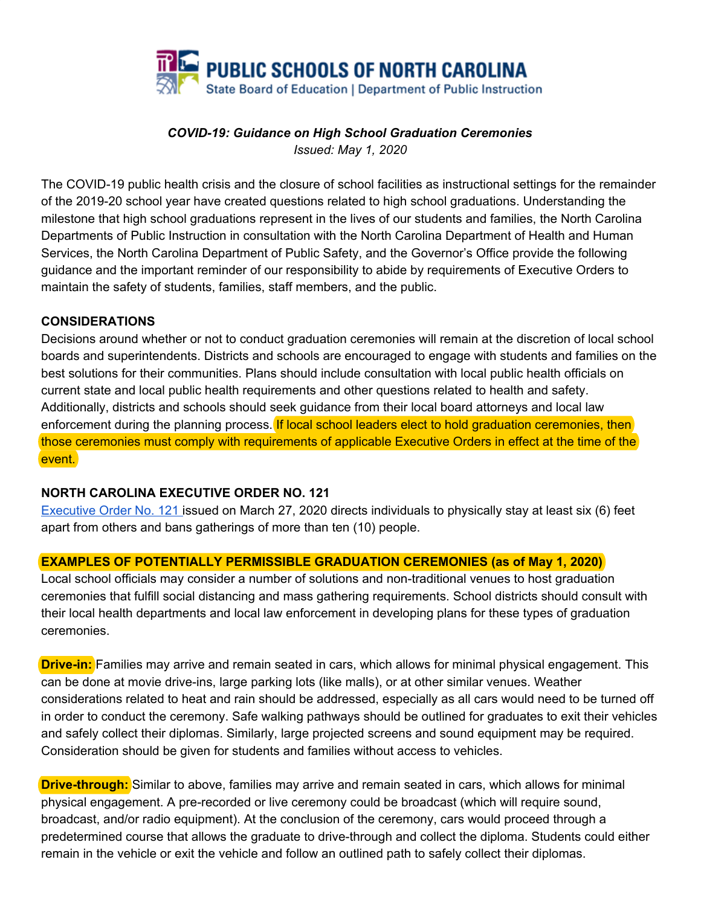

#### *COVID-19: Guidance on High School Graduation Ceremonies Issued: May 1, 2020*

The COVID-19 public health crisis and the closure of school facilities as instructional settings for the remainder of the 2019-20 school year have created questions related to high school graduations. Understanding the milestone that high school graduations represent in the lives of our students and families, the North Carolina Departments of Public Instruction in consultation with the North Carolina Department of Health and Human Services, the North Carolina Department of Public Safety, and the Governor's Office provide the following guidance and the important reminder of our responsibility to abide by requirements of Executive Orders to maintain the safety of students, families, staff members, and the public.

#### **CONSIDERATIONS**

Decisions around whether or not to conduct graduation ceremonies will remain at the discretion of local school boards and superintendents. Districts and schools are encouraged to engage with students and families on the best solutions for their communities. Plans should include consultation with local public health officials on current state and local public health requirements and other questions related to health and safety. Additionally, districts and schools should seek guidance from their local board attorneys and local law enforcement during the planning process. If local school leaders elect to hold graduation ceremonies, then those ceremonies must comply with requirements of applicable Executive Orders in effect at the time of the event.

## **NORTH CAROLINA EXECUTIVE ORDER NO. 121**

[Executive](https://files.nc.gov/governor/documents/files/EO121-Stay-at-Home-Order-3.pdf) Order No. 121 issued on March 27, 2020 directs individuals to physically stay at least six (6) feet apart from others and bans gatherings of more than ten (10) people.

## **EXAMPLES OF POTENTIALLY PERMISSIBLE GRADUATION CEREMONIES (as of May 1, 2020)**

Local school officials may consider a number of solutions and non-traditional venues to host graduation ceremonies that fulfill social distancing and mass gathering requirements. School districts should consult with their local health departments and local law enforcement in developing plans for these types of graduation ceremonies.

**Drive-in:** Families may arrive and remain seated in cars, which allows for minimal physical engagement. This can be done at movie drive-ins, large parking lots (like malls), or at other similar venues. Weather considerations related to heat and rain should be addressed, especially as all cars would need to be turned off in order to conduct the ceremony. Safe walking pathways should be outlined for graduates to exit their vehicles and safely collect their diplomas. Similarly, large projected screens and sound equipment may be required. Consideration should be given for students and families without access to vehicles.

**Drive-through:** Similar to above, families may arrive and remain seated in cars, which allows for minimal physical engagement. A pre-recorded or live ceremony could be broadcast (which will require sound, broadcast, and/or radio equipment). At the conclusion of the ceremony, cars would proceed through a predetermined course that allows the graduate to drive-through and collect the diploma. Students could either remain in the vehicle or exit the vehicle and follow an outlined path to safely collect their diplomas.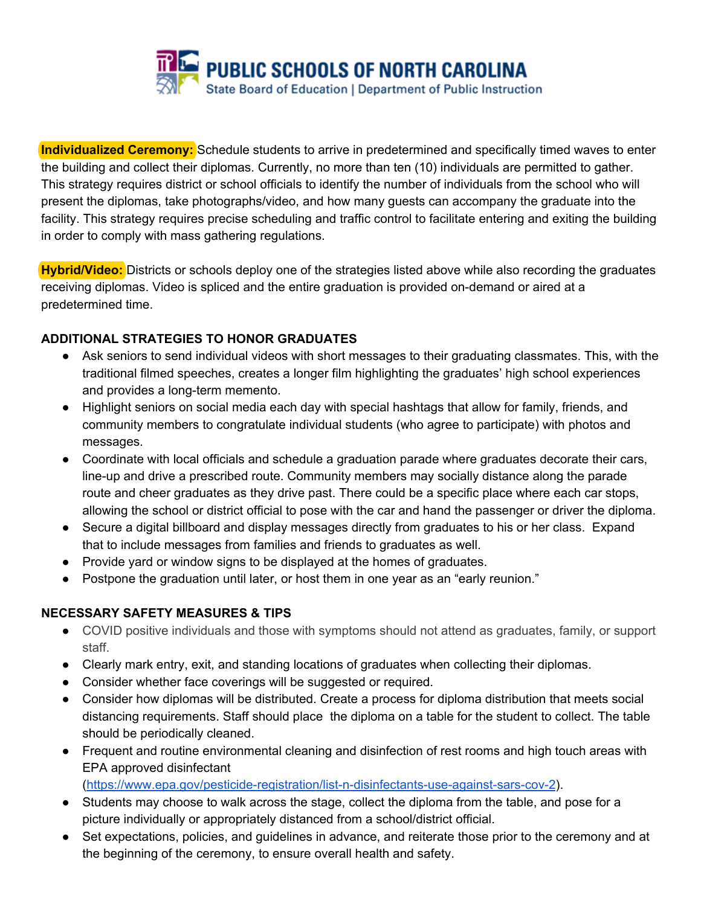

**Individualized Ceremony:** Schedule students to arrive in predetermined and specifically timed waves to enter the building and collect their diplomas. Currently, no more than ten (10) individuals are permitted to gather. This strategy requires district or school officials to identify the number of individuals from the school who will present the diplomas, take photographs/video, and how many guests can accompany the graduate into the facility. This strategy requires precise scheduling and traffic control to facilitate entering and exiting the building in order to comply with mass gathering regulations.

**Hybrid/Video:** Districts or schools deploy one of the strategies listed above while also recording the graduates receiving diplomas. Video is spliced and the entire graduation is provided on-demand or aired at a predetermined time.

# **ADDITIONAL STRATEGIES TO HONOR GRADUATES**

- Ask seniors to send individual videos with short messages to their graduating classmates. This, with the traditional filmed speeches, creates a longer film highlighting the graduates' high school experiences and provides a long-term memento.
- Highlight seniors on social media each day with special hashtags that allow for family, friends, and community members to congratulate individual students (who agree to participate) with photos and messages.
- Coordinate with local officials and schedule a graduation parade where graduates decorate their cars, line-up and drive a prescribed route. Community members may socially distance along the parade route and cheer graduates as they drive past. There could be a specific place where each car stops, allowing the school or district official to pose with the car and hand the passenger or driver the diploma.
- Secure a digital billboard and display messages directly from graduates to his or her class. Expand that to include messages from families and friends to graduates as well.
- Provide yard or window signs to be displayed at the homes of graduates.
- Postpone the graduation until later, or host them in one year as an "early reunion."

## **NECESSARY SAFETY MEASURES & TIPS**

- COVID positive individuals and those with symptoms should not attend as graduates, family, or support staff.
- Clearly mark entry, exit, and standing locations of graduates when collecting their diplomas.
- Consider whether face coverings will be suggested or required.
- Consider how diplomas will be distributed. Create a process for diploma distribution that meets social distancing requirements. Staff should place the diploma on a table for the student to collect. The table should be periodically cleaned.
- Frequent and routine environmental cleaning and disinfection of rest rooms and high touch areas with EPA approved disinfectant

(<https://www.epa.gov/pesticide-registration/list-n-disinfectants-use-against-sars-cov-2>).

- Students may choose to walk across the stage, collect the diploma from the table, and pose for a picture individually or appropriately distanced from a school/district official.
- Set expectations, policies, and guidelines in advance, and reiterate those prior to the ceremony and at the beginning of the ceremony, to ensure overall health and safety.